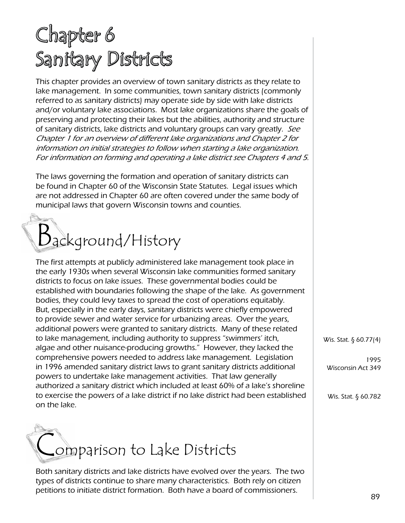## Chapter 6 Sanitary Districts

This chapter provides an overview of town sanitary districts as they relate to lake management. In some communities, town sanitary districts (commonly referred to as sanitary districts) may operate side by side with lake districts and/or voluntary lake associations. Most lake organizations share the goals of preserving and protecting their lakes but the abilities, authority and structure of sanitary districts, lake districts and voluntary groups can vary greatly. See Chapter 1 for an overview of different lake organizations and Chapter 2 for information on initial strategies to follow when starting a lake organization. For information on forming and operating a lake district see Chapters 4 and 5.

The laws governing the formation and operation of sanitary districts can be found in Chapter 60 of the Wisconsin State Statutes. Legal issues which are not addressed in Chapter 60 are often covered under the same body of municipal laws that govern Wisconsin towns and counties.

# Background/History

The first attempts at publicly administered lake management took place in the early 1930s when several Wisconsin lake communities formed sanitary districts to focus on lake issues. These governmental bodies could be established with boundaries following the shape of the lake. As government bodies, they could levy taxes to spread the cost of operations equitably. But, especially in the early days, sanitary districts were chiefly empowered to provide sewer and water service for urbanizing areas. Over the years, additional powers were granted to sanitary districts. Many of these related to lake management, including authority to suppress "swimmers' itch, algae and other nuisance-producing growths." However, they lacked the comprehensive powers needed to address lake management. Legislation in 1996 amended sanitary district laws to grant sanitary districts additional powers to undertake lake management activities. That law generally authorized a sanitary district which included at least 60% of a lake's shoreline to exercise the powers of a lake district if no lake district had been established on the lake.



Both sanitary districts and lake districts have evolved over the years. The two types of districts continue to share many characteristics. Both rely on citizen petitions to initiate district formation. Both have a board of commissioners.

Wis. Stat. § 60.77(4)

1995 Wisconsin Act 349

Wis. Stat. § 60.782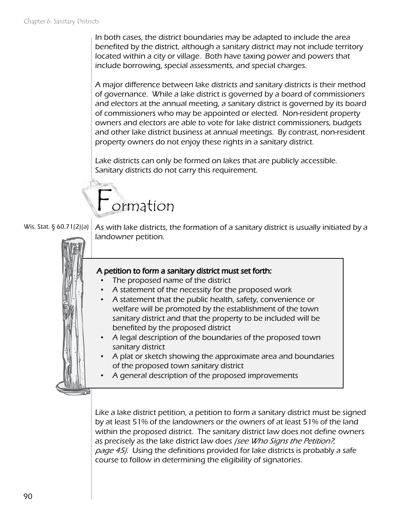In both cases, the district boundaries may be adapted to include the area benefited by the district, although a sanitary district may not include territory located within a city or village. Both have taxing power and powers that include borrowing, special assessments, and special charges.

A major difference between lake districts and sanitary districts is their method of governance. While a lake district is governed by a board of commissioners and electors at the annual meeting, a sanitary district is governed by its board of commissioners who may be appointed or elected. Non-resident property owners and electors are able to vote for lake district commissioners, budgets and other lake district business at annual meetings. By contrast, non-resident property owners do not enjoy these rights in a sanitary district.

Lake districts can only be formed on lakes that are publicly accessible. Sanitary districts do not carry this requirement.





As with lake districts, the formation of a sanitary district is usually initiated by a landowner petition.



#### A petition to form a sanitary district must set forth:

- The proposed name of the district
- A statement of the necessity for the proposed work
- A statement that the public health, safety, convenience or welfare will be promoted by the establishment of the town sanitary district and that the property to be included will be benefited by the proposed district
- A legal description of the boundaries of the proposed town sanitary district
- A plat or sketch showing the approximate area and boundaries of the proposed town sanitary district
- A general description of the proposed improvements

Like a lake district petition, a petition to form a sanitary district must be signed by at least 51% of the landowners or the owners of at least 51% of the land within the proposed district. The sanitary district law does not define owners as precisely as the lake district law does (see Who Signs the Petition?, page 45). Using the definitions provided for lake districts is probably a safe course to follow in determining the eligibility of signatories.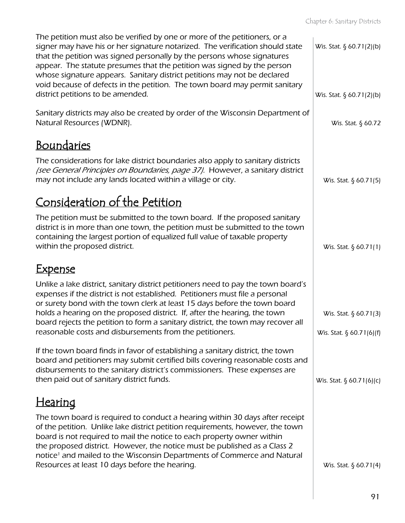| The petition must also be verified by one or more of the petitioners, or a<br>signer may have his or her signature notarized. The verification should state<br>that the petition was signed personally by the persons whose signatures<br>appear. The statute presumes that the petition was signed by the person<br>whose signature appears. Sanitary district petitions may not be declared<br>void because of defects in the petition. The town board may permit sanitary | Wis. Stat. § 60.71(2)(b)    |
|------------------------------------------------------------------------------------------------------------------------------------------------------------------------------------------------------------------------------------------------------------------------------------------------------------------------------------------------------------------------------------------------------------------------------------------------------------------------------|-----------------------------|
| district petitions to be amended.                                                                                                                                                                                                                                                                                                                                                                                                                                            | Wis. Stat. § 60.71(2)(b)    |
| Sanitary districts may also be created by order of the Wisconsin Department of<br>Natural Resources (WDNR).                                                                                                                                                                                                                                                                                                                                                                  | Wis. Stat. § 60.72          |
| <u>Boundaries</u>                                                                                                                                                                                                                                                                                                                                                                                                                                                            |                             |
| The considerations for lake district boundaries also apply to sanitary districts<br>[see General Principles on Boundaries, page 37]. However, a sanitary district<br>may not include any lands located within a village or city.                                                                                                                                                                                                                                             | Wis. Stat. $\S$ 60.71(5)    |
| Consideration of the Petition                                                                                                                                                                                                                                                                                                                                                                                                                                                |                             |
| The petition must be submitted to the town board. If the proposed sanitary<br>district is in more than one town, the petition must be submitted to the town<br>containing the largest portion of equalized full value of taxable property<br>within the proposed district.                                                                                                                                                                                                   | Wis. Stat. § 60.71(1)       |
| <u>Expense</u>                                                                                                                                                                                                                                                                                                                                                                                                                                                               |                             |
| Unlike a lake district, sanitary district petitioners need to pay the town board's<br>expenses if the district is not established. Petitioners must file a personal<br>or surety bond with the town clerk at least 15 days before the town board<br>holds a hearing on the proposed district. If, after the hearing, the town                                                                                                                                                | Wis. Stat. § 60.71(3)       |
| board rejects the petition to form a sanitary district, the town may recover all<br>reasonable costs and disbursements from the petitioners.                                                                                                                                                                                                                                                                                                                                 | Wis. Stat. $\S$ 60.71(6)(f) |
| If the town board finds in favor of establishing a sanitary district, the town<br>board and petitioners may submit certified bills covering reasonable costs and<br>disbursements to the sanitary district's commissioners. These expenses are<br>then paid out of sanitary district funds.                                                                                                                                                                                  | Wis. Stat. $\S 60.71(6)(c)$ |
| <u>Hearing</u>                                                                                                                                                                                                                                                                                                                                                                                                                                                               |                             |
| The town board is required to conduct a hearing within 30 days after receipt<br>of the petition. Unlike lake district petition requirements, however, the town<br>board is not required to mail the notice to each property owner within<br>the proposed district. However, the notice must be published as a Class 2<br>notice <sup>1</sup> and mailed to the Wisconsin Departments of Commerce and Natural                                                                 |                             |
| Resources at least 10 days before the hearing.                                                                                                                                                                                                                                                                                                                                                                                                                               | Wis. Stat. $\S$ 60.71(4)    |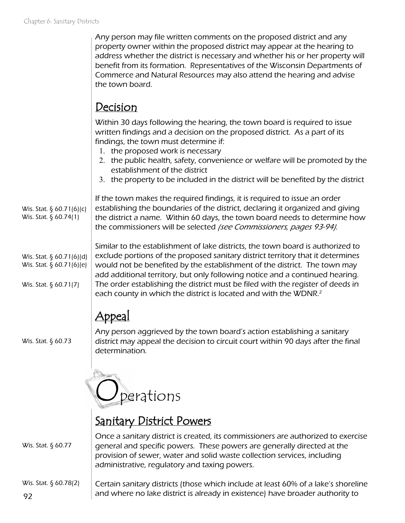| Any person may file written comments on the proposed district and any          |
|--------------------------------------------------------------------------------|
| property owner within the proposed district may appear at the hearing to       |
| address whether the district is necessary and whether his or her property will |
| benefit from its formation. Representatives of the Wisconsin Departments of    |
| Commerce and Natural Resources may also attend the hearing and advise          |
| the town board.                                                                |

## Decision

Within 30 days following the hearing, the town board is required to issue written findings and a decision on the proposed district. As a part of its findings, the town must determine if:

- 1. the proposed work is necessary
- 2. the public health, safety, convenience or welfare will be promoted by the establishment of the district
- 3. the property to be included in the district will be benefited by the district

Wis. Stat. § 60.71(6)(c) Wis. Stat. § 60.74(1)

If the town makes the required findings, it is required to issue an order establishing the boundaries of the district, declaring it organized and giving the district a name. Within 60 days, the town board needs to determine how the commissioners will be selected (see Commissioners, pages 93-94).

Wis. Stat. § 60.71(6)(d) Wis. Stat. § 60.71(6)(e)

Wis. Stat. § 60.71(7)

Similar to the establishment of lake districts, the town board is authorized to exclude portions of the proposed sanitary district territory that it determines would not be benefited by the establishment of the district. The town may add additional territory, but only following notice and a continued hearing. The order establishing the district must be filed with the register of deeds in each county in which the district is located and with the WDNR.<sup>2</sup>

## Appeal

Wis. Stat. § 60.73

Any person aggrieved by the town board's action establishing a sanitary district may appeal the decision to circuit court within 90 days after the final determination.



## Sanitary District Powers

Once a sanitary district is created, its commissioners are authorized to exercise general and specific powers. These powers are generally directed at the provision of sewer, water and solid waste collection services, including administrative, regulatory and taxing powers. Wis. Stat. § 60.77

92 Certain sanitary districts (those which include at least 60% of a lake's shoreline and where no lake district is already in existence) have broader authority to Wis. Stat. § 60.78(2)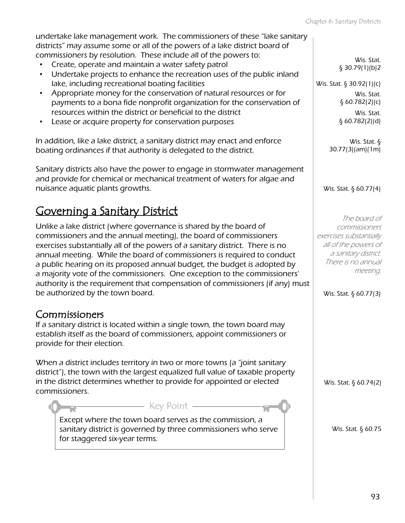undertake lake management work. The commissioners of these "lake sanitary districts" may assume some or all of the powers of a lake district board of commissioners by resolution. These include all of the powers to:

- Create, operate and maintain a water safety patrol
- Undertake projects to enhance the recreation uses of the public inland lake, including recreational boating facilities
- Appropriate money for the conservation of natural resources or for payments to a bona fide nonprofit organization for the conservation of resources within the district or beneficial to the district
- Lease or acquire property for conservation purposes

In addition, like a lake district, a sanitary district may enact and enforce boating ordinances if that authority is delegated to the district.

Sanitary districts also have the power to engage in stormwater management and provide for chemical or mechanical treatment of waters for algae and nuisance aquatic plants growths.

## Governing a Sanitary District

Unlike a lake district (where governance is shared by the board of commissioners and the annual meeting), the board of commissioners exercises substantially all of the powers of a sanitary district. There is no annual meeting. While the board of commissioners is required to conduct a public hearing on its proposed annual budget, the budget is adopted by a majority vote of the commissioners. One exception to the commissioners' authority is the requirement that compensation of commissioners (if any) must be authorized by the town board.

### Commissioners

If a sanitary district is located within a single town, the town board may establish itself as the board of commissioners, appoint commissioners or provide for their election.

When a district includes territory in two or more towns (a "joint sanitary") district"), the town with the largest equalized full value of taxable property in the district determines whether to provide for appointed or elected commissioners.

Except where the town board serves as the commission, a sanitary district is governed by three commissioners who serve for staggered six-year terms.

- Key Point -

Wis. Stat. § 30.79(1)(b)2

Wis. Stat. § 30.92(1)(c) Wis. Stat. § 60.782(2)(c)

> Wis. Stat. § 60.782(2)(d)

Wis. Stat. § 30.77(3)(am)(1m)

Wis. Stat. § 60.77(4)

The board of commissioners exercises substantially all of the powers of a sanitary district. There is no annual meeting.

Wis. Stat. § 60.77(3)

Wis. Stat. § 60.74(2)

Wis. Stat. § 60.75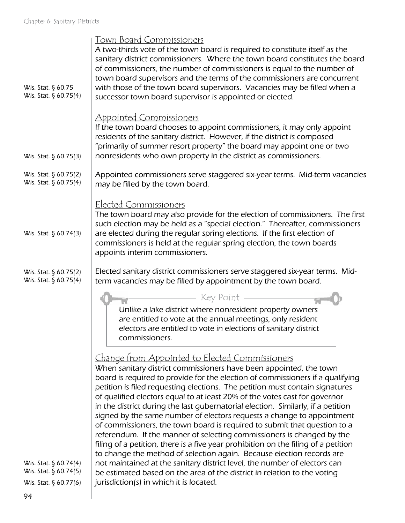|                       | <u>Town Board Commissioners</u>                                                    |
|-----------------------|------------------------------------------------------------------------------------|
|                       | A two-thirds vote of the town board is required to constitute itself as the        |
|                       | sanitary district commissioners. Where the town board constitutes the board        |
|                       | of commissioners, the number of commissioners is equal to the number of            |
|                       | town board supervisors and the terms of the commissioners are concurrent           |
| Wis. Stat. § 60.75    | with those of the town board supervisors. Vacancies may be filled when a           |
| Wis. Stat. § 60.75(4) | successor town board supervisor is appointed or elected.                           |
|                       |                                                                                    |
|                       | <b>Appointed Commissioners</b>                                                     |
|                       | If the town board chooses to appoint commissioners, it may only appoint            |
|                       | residents of the sanitary district. However, if the district is composed           |
|                       | "primarily of summer resort property" the board may appoint one or two             |
| Wis. Stat. § 60.75(3) | nonresidents who own property in the district as commissioners.                    |
|                       |                                                                                    |
| Wis. Stat. § 60.75(2) | Appointed commissioners serve staggered six-year terms. Mid-term vacancies         |
| Wis. Stat. § 60.75(4) | may be filled by the town board.                                                   |
|                       |                                                                                    |
|                       | Elected Commissioners                                                              |
|                       | The town board may also provide for the election of commissioners. The first       |
|                       | such election may be held as a "special election." Thereafter, commissioners       |
| Wis. Stat. § 60.74(3) | are elected during the regular spring elections. If the first election of          |
|                       | commissioners is held at the regular spring election, the town boards              |
|                       | appoints interim commissioners.                                                    |
|                       |                                                                                    |
| Wis. Stat. § 60.75(2) | Elected sanitary district commissioners serve staggered six-year terms. Mid-       |
| Wis. Stat. § 60.75(4) | term vacancies may be filled by appointment by the town board.                     |
|                       | – Key Point –                                                                      |
|                       | Unlike a lake district where nonresident property owners                           |
|                       | are entitled to vote at the annual meetings, only resident                         |
|                       | electors are entitled to vote in elections of sanitary district                    |
|                       | commissioners.                                                                     |
|                       |                                                                                    |
|                       | Change from Appointed to Elected Commissioners                                     |
|                       | When sanitary district commissioners have been appointed, the town                 |
|                       | board is required to provide for the election of commissioners if a qualifying     |
|                       | petition is filed requesting elections. The petition must contain signatures       |
|                       | of qualified electors equal to at least 20% of the votes cast for governor         |
|                       | in the district during the last qubernatorial election. Similarly, if a petition   |
|                       | signed by the same number of electors requests a change to appointment             |
|                       | of commissioners, the town board is required to submit that question to a          |
|                       | referendum. If the manner of selecting commissioners is changed by the             |
|                       | filing of a petition, there is a five year prohibition on the filing of a petition |
|                       | to change the method of selection again. Because election records are              |
| Wis. Stat. § 60.74(4) | not maintained at the sanitary district level, the number of electors can          |
| Wis. Stat. § 60.74(5) | be estimated based on the area of the district in relation to the voting           |
| Wis. Stat. § 60.77(6) | jurisdiction(s) in which it is located.                                            |
|                       |                                                                                    |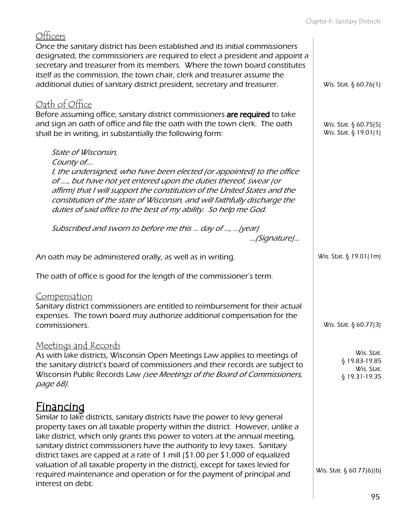| Officers                                                                                                                                                                                                                                                                                                                                                                                                                                                                                                                                                                                                            |                                                            |
|---------------------------------------------------------------------------------------------------------------------------------------------------------------------------------------------------------------------------------------------------------------------------------------------------------------------------------------------------------------------------------------------------------------------------------------------------------------------------------------------------------------------------------------------------------------------------------------------------------------------|------------------------------------------------------------|
| Once the sanitary district has been established and its initial commissioners<br>designated, the commissioners are required to elect a president and appoint a<br>secretary and treasurer from its members. Where the town board constitutes                                                                                                                                                                                                                                                                                                                                                                        |                                                            |
| itself as the commission, the town chair, clerk and treasurer assume the<br>additional duties of sanitary district president, secretary and treasurer.                                                                                                                                                                                                                                                                                                                                                                                                                                                              | Wis. Stat. § 60.76(1)                                      |
| <u>Oath of Office</u>                                                                                                                                                                                                                                                                                                                                                                                                                                                                                                                                                                                               |                                                            |
| Before assuming office, sanitary district commissioners are required to take<br>and sign an oath of office and file the oath with the town clerk. The oath<br>shall be in writing, in substantially the following form:                                                                                                                                                                                                                                                                                                                                                                                             | Wis. Stat. § 60.75(5)<br>Wis. Stat. § 19.01(1)             |
| State of Wisconsin,                                                                                                                                                                                                                                                                                                                                                                                                                                                                                                                                                                                                 |                                                            |
| County of<br>I, the undersigned, who have been elected (or appointed) to the office<br>of , but have not yet entered upon the duties thereof, swear (or<br>affirm) that I will support the constitution of the United States and the<br>constitution of the state of Wisconsin, and will faithfully discharge the<br>duties of said office to the best of my ability. So help me God.                                                                                                                                                                                                                               |                                                            |
| Subscribed and sworn to before me this  day of ,  (year)<br>(Signature)                                                                                                                                                                                                                                                                                                                                                                                                                                                                                                                                             |                                                            |
| An oath may be administered orally, as well as in writing.                                                                                                                                                                                                                                                                                                                                                                                                                                                                                                                                                          | Wis. Stat. § 19.01(1m)                                     |
| The oath of office is good for the length of the commissioner's term.                                                                                                                                                                                                                                                                                                                                                                                                                                                                                                                                               |                                                            |
| Compensation<br>Sanitary district commissioners are entitled to reimbursement for their actual<br>expenses. The town board may authorize additional compensation for the<br>commissioners.                                                                                                                                                                                                                                                                                                                                                                                                                          | Wis. Stat. $\S$ 60.77(3)                                   |
| Meetings and Records<br>As with lake districts, Wisconsin Open Meetings Law applies to meetings of<br>the sanitary district's board of commissioners and their records are subject to<br>Wisconsin Public Records Law /see Meetings of the Board of Commissioners,<br>page 68).                                                                                                                                                                                                                                                                                                                                     | Wis. Stat.<br>\$19.83-19.85<br>Wis. Stat.<br>§ 19.31-19.35 |
| <u>Financinq</u><br>Similar to lake districts, sanitary districts have the power to levy general<br>property taxes on all taxable property within the district. However, unlike a<br>lake district, which only grants this power to voters at the annual meeting,<br>sanitary district commissioners have the authority to levy taxes. Sanitary<br>district taxes are capped at a rate of 1 mill (\$1.00 per \$1,000 of equalized<br>valuation of all taxable property in the district), except for taxes levied for<br>required maintenance and operation or for the payment of principal and<br>interest on debt. | Wis. Stat. $\S$ 60.77(6)(b)                                |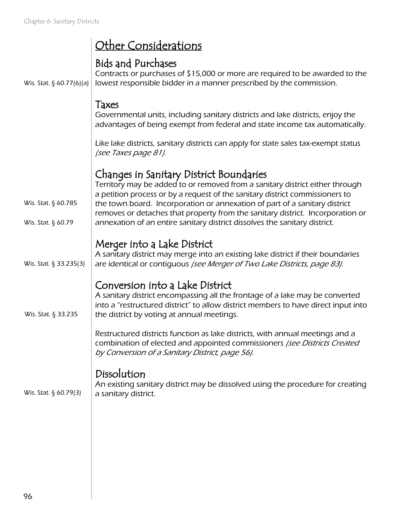|                                           | Other Considerations                                                                                                                                                                                                                                |
|-------------------------------------------|-----------------------------------------------------------------------------------------------------------------------------------------------------------------------------------------------------------------------------------------------------|
| Wis. Stat. $\S$ 60.77(6)(a)               | <b>Bids and Purchases</b><br>Contracts or purchases of \$15,000 or more are required to be awarded to the<br>lowest responsible bidder in a manner prescribed by the commission.                                                                    |
|                                           | Taxes<br>Governmental units, including sanitary districts and lake districts, enjoy the<br>advantages of being exempt from federal and state income tax automatically.                                                                              |
|                                           | Like lake districts, sanitary districts can apply for state sales tax-exempt status<br>(see Taxes page 81).                                                                                                                                         |
|                                           | Changes in Sanitary District Boundaries<br>Territory may be added to or removed from a sanitary district either through<br>a petition process or by a request of the sanitary district commissioners to                                             |
| Wis. Stat. § 60.785<br>Wis. Stat. § 60.79 | the town board. Incorporation or annexation of part of a sanitary district<br>removes or detaches that property from the sanitary district. Incorporation or<br>annexation of an entire sanitary district dissolves the sanitary district.          |
| Wis. Stat. $\S$ 33.235(3)                 | Merger into a Lake District<br>A sanitary district may merge into an existing lake district if their boundaries<br>are identical or contiguous /see Merger of Two Lake Districts, page 83).                                                         |
| Wis. Stat. § 33.235                       | Conversion into a Lake District<br>A sanitary district encompassing all the frontage of a lake may be converted<br>into a "restructured district" to allow district members to have direct input into<br>the district by voting at annual meetings. |
|                                           | Restructured districts function as lake districts, with annual meetings and a<br>combination of elected and appointed commissioners (see Districts Created<br>by Conversion of a Sanitary District, page 56).                                       |
| Wis. Stat. $\S$ 60.79(3)                  | Dissolution<br>An existing sanitary district may be dissolved using the procedure for creating<br>a sanitary district.                                                                                                                              |
|                                           |                                                                                                                                                                                                                                                     |